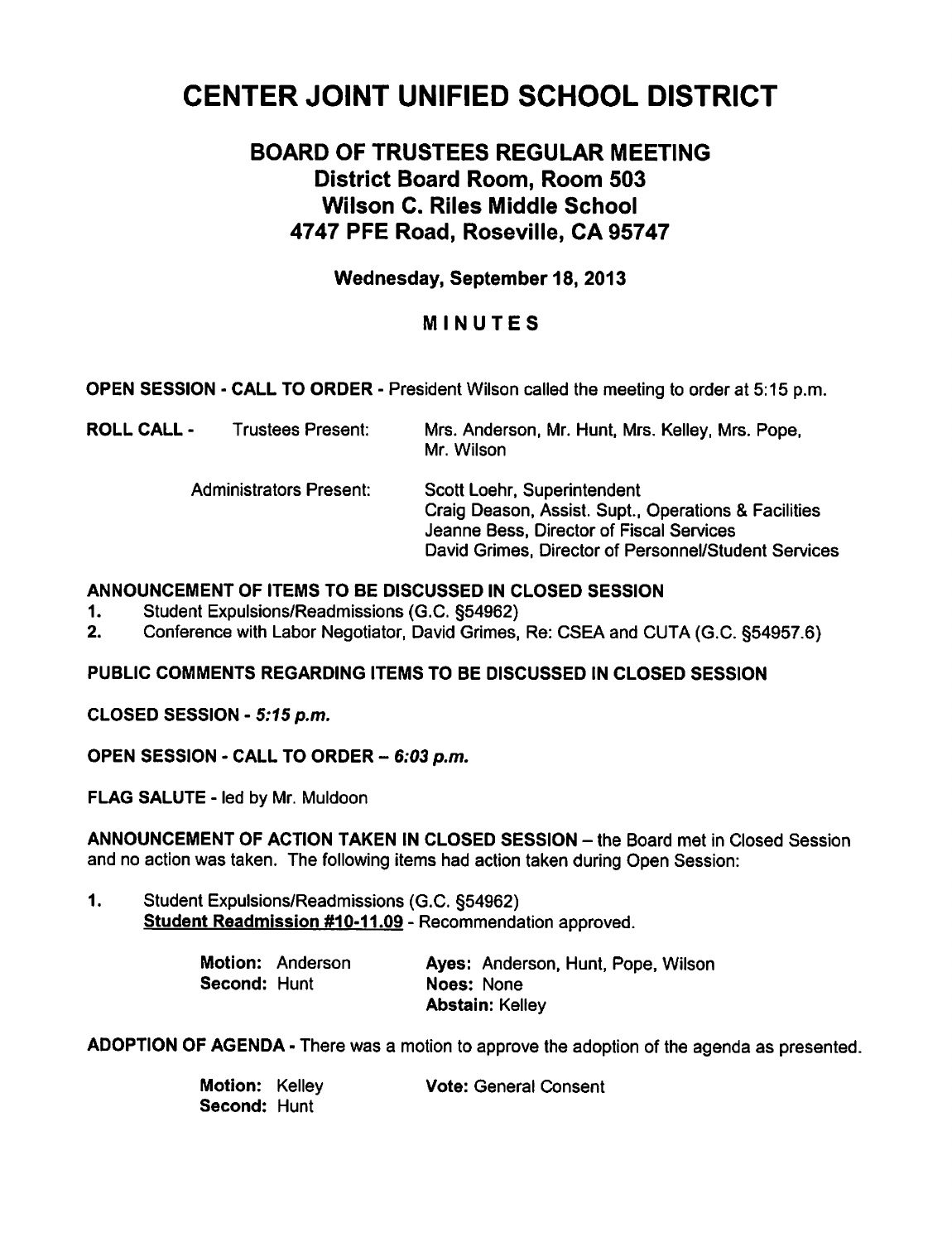# CENTER JOINT UNIFIED SCHOOL DISTRICT

# BOARD OF TRUSTEES REGULAR MEETING District Board Room, Room 503 Wilson C. Riles Middle School 4747 PFE Road, Roseville, CA 95747

Wednesday, September 18, 2013

## MINUTES

OPEN SESSION - CALL TO ORDER - President Wilson called the meeting to order at 5:15 p.m.

ROLL CALL - Trustees Present: Mrs. Anderson, Mr. Hunt, Mrs. Kelley, Mrs. Pope, Mr. Wilson

> Administrators Present: Scott Loehr, Superintendent Craig Deason, Assist. Supt., Operations & Facilities Jeanne Bess, Director of Fiscal Services David Grimes, Director of Personnel/Student Services

### ANNOUNCEMENT OF ITEMS TO BE DISCUSSED IN CLOSED SESSION

- 1. Student Expulsions/Readmissions (G.C. §54962)
- 2. Conference with Labor Negotiator, David Grimes, Re: CSEA and CUTA (G.C. §54957.6)

### PUBLIC COMMENTS REGARDING ITEMS TO BE DISCUSSED IN CLOSED SESSION

CLOSED SESSION - 5:15 p.m.

OPEN SESSION - CALL TO ORDER  $-6:03$  p.m.

FLAG SALUTE - led by Mr. Muldoon

ANNOUNCEMENT OF ACTION TAKEN IN CLOSED SESSION - the Board met in Closed Session and no action was taken. The following items had action taken during Open Session:

1. Student Expulsions/Readmissions (G.C. §54962) Student Readmission #10-11.09 - Recommendation approved.

|                     | Motion: Anderson | Ayes: Anderson, Hunt, Pope, Wilson |  |
|---------------------|------------------|------------------------------------|--|
| <b>Second: Hunt</b> |                  | Noes: None                         |  |
|                     |                  | <b>Abstain: Kelley</b>             |  |

ADOPTION OF AGENDA - There was a motion to approve the adoption of the agenda as presented.

| Motion: Kelley      | <b>Vote: General Consent</b> |
|---------------------|------------------------------|
| <b>Second: Hunt</b> |                              |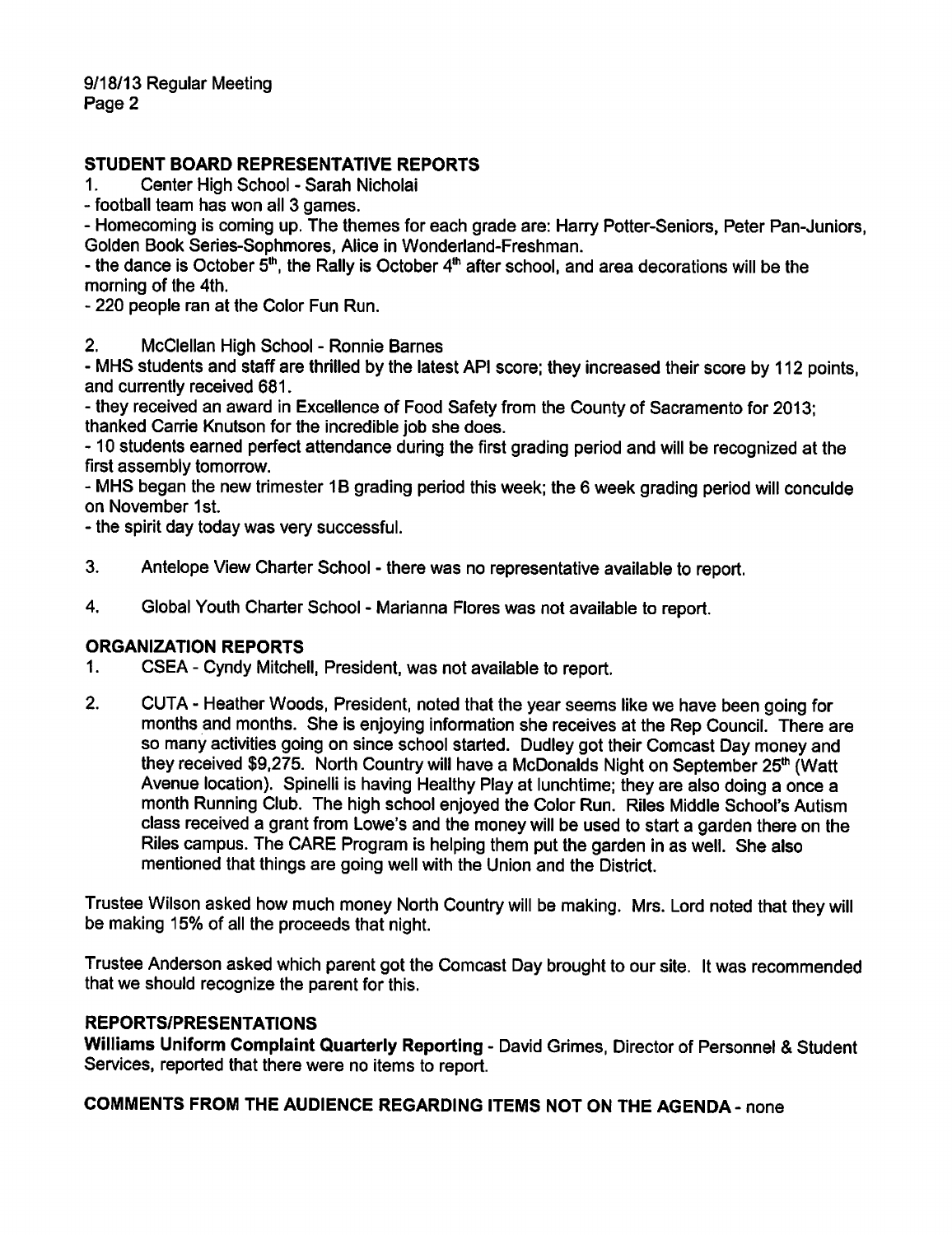### STUDENT BOARD REPRESENTATIVE REPORTS

1. Center High School - Sarah Nicholai

football team has won all 3 games.

- Homecoming is coming up. The themes for each grade are: Harry Potter-Seniors, Peter Pan-Juniors, Golden Book Series-Sophmores, Alice in Wonderland-Freshman.

- the dance is October  $5<sup>th</sup>$ , the Rally is October  $4<sup>th</sup>$  after school, and area decorations will be the morning of the 4th.

220 people ran at the Color Fun Run.

2. McClellan High School - Ronnie Barnes

MHS students and staff are thrilled by the latest API score; they increased their score by 112 points, and currently received 681.

they received an award in Excellence of Food Safety from the County of Sacramento for 2013; thanked Carrie Knutson for the incredible job she does.

-10 students earned perfect attendance during the first grading period and will be recognized at the first assembly tomorrow.

MHS began the new trimester 1B grading period this week; the 6 week grading period will conculde on November 1st.

- the spirit day today was very successful.

- 3. Antelope View Charter School there was no representative available to report.
- 4. Global Youth Charter School Marianna Flores was not available to report.

#### ORGANIZATION REPORTS

- 1. CSEA Cyndy Mitchell, President, was not available to report.
- 2. CUTA Heather Woods, President, noted that the year seems like we have been going for months and months. She is enjoying information she receives at the Rep Council. There are so many activities going on since school started. Dudley got their Comcast Day money and they received \$9,275. North Country will have a McDonalds Night on September 25<sup>th</sup> (Watt Avenue location). Spinelli is having Healthy Play at lunchtime; they are also doing a once a month Running Club. The high school enjoyed the Color Run. Riles Middle School's Autism class received a grant from Lowe's and the money will be used to start a garden there on the Riles campus. The CARE Program is helping them put the garden in as well. She also mentioned that things are going well with the Union and the District.

Trustee Wilson asked how much money North Country will be making. Mrs. Lord noted that they will be making 15% of all the proceeds that night.

Trustee Anderson asked which parent got the Comcast Day brought to our site. It was recommended that we should recognize the parent for this.

#### REPORTS/PRESENTATIONS

Williams Uniform Complaint Quarterly Reporting - David Grimes, Director of Personnel & Student Services, reported that there were no items to report.

COMMENTS FROM THE AUDIENCE REGARDING ITEMS NOT ON THE AGENDA- none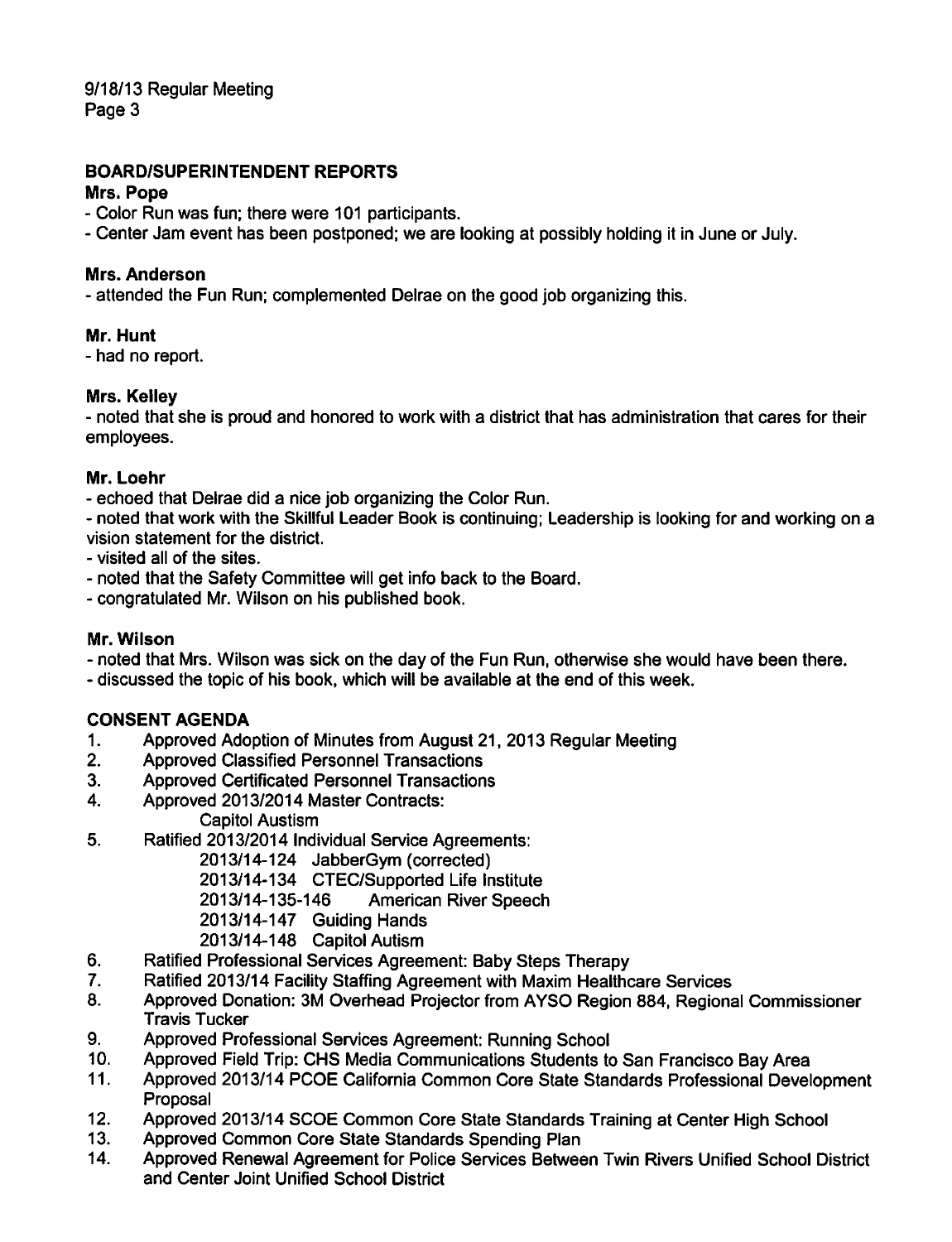9/18/13 Regular Meeting Page 3

### **BOARD/SUPERINTENDENT REPORTS**

#### Mrs. Pope

- Color Run was fun: there were 101 participants.

- Center Jam event has been postponed; we are looking at possibly holding it in June or July.

#### Mrs. Anderson

- attended the Fun Run; complemented Delrae on the good job organizing this.

#### Mr. Hunt

- had no report.

#### Mrs. Kelley

- noted that she is proud and honored to work with a district that has administration that cares for their employees.

#### Mr. Loehr

- echoed that Delrae did a nice job organizing the Color Run.

- noted that work with the Skillful Leader Book is continuing; Leadership is looking for and working on a vision statement for the district.

- visited all of the sites.

- noted that the Safety Committee will get info back to the Board.
- congratulated Mr. Wilson on his published book.

#### Mr. Wilson

- noted that Mrs. Wilson was sick on the day of the Fun Run, otherwise she would have been there.

- discussed the topic of his book, which will be available at the end of this week.

#### **CONSENT AGENDA**

- $1.$ Approved Adoption of Minutes from August 21, 2013 Regular Meeting
- $2.$ **Approved Classified Personnel Transactions**
- $3<sup>1</sup>$ **Approved Certificated Personnel Transactions**
- $\overline{\mathbf{4}}$ . Approved 2013/2014 Master Contracts: **Capitol Austism**
- 5. Ratified 2013/2014 Individual Service Agreements:

2013/14-124 JabberGym (corrected)

2013/14-134 CTEC/Supported Life Institute

2013/14-135-146 **American River Speech** 

- 2013/14-147 Guiding Hands
- 2013/14-148 Capitol Autism
- 6. Ratified Professional Services Agreement: Baby Steps Therapy
- $7<sub>1</sub>$ Ratified 2013/14 Facility Staffing Agreement with Maxim Healthcare Services
- 8. Approved Donation: 3M Overhead Projector from AYSO Region 884, Regional Commissioner **Travis Tucker**
- $9<sub>1</sub>$ Approved Professional Services Agreement: Running School
- Approved Field Trip: CHS Media Communications Students to San Francisco Bay Area  $10<sub>1</sub>$
- Approved 2013/14 PCOE California Common Core State Standards Professional Development  $11.$ Proposal
- $12.$ Approved 2013/14 SCOE Common Core State Standards Training at Center High School
- Approved Common Core State Standards Spending Plan  $13.$
- Approved Renewal Agreement for Police Services Between Twin Rivers Unified School District  $14<sub>1</sub>$ and Center Joint Unified School District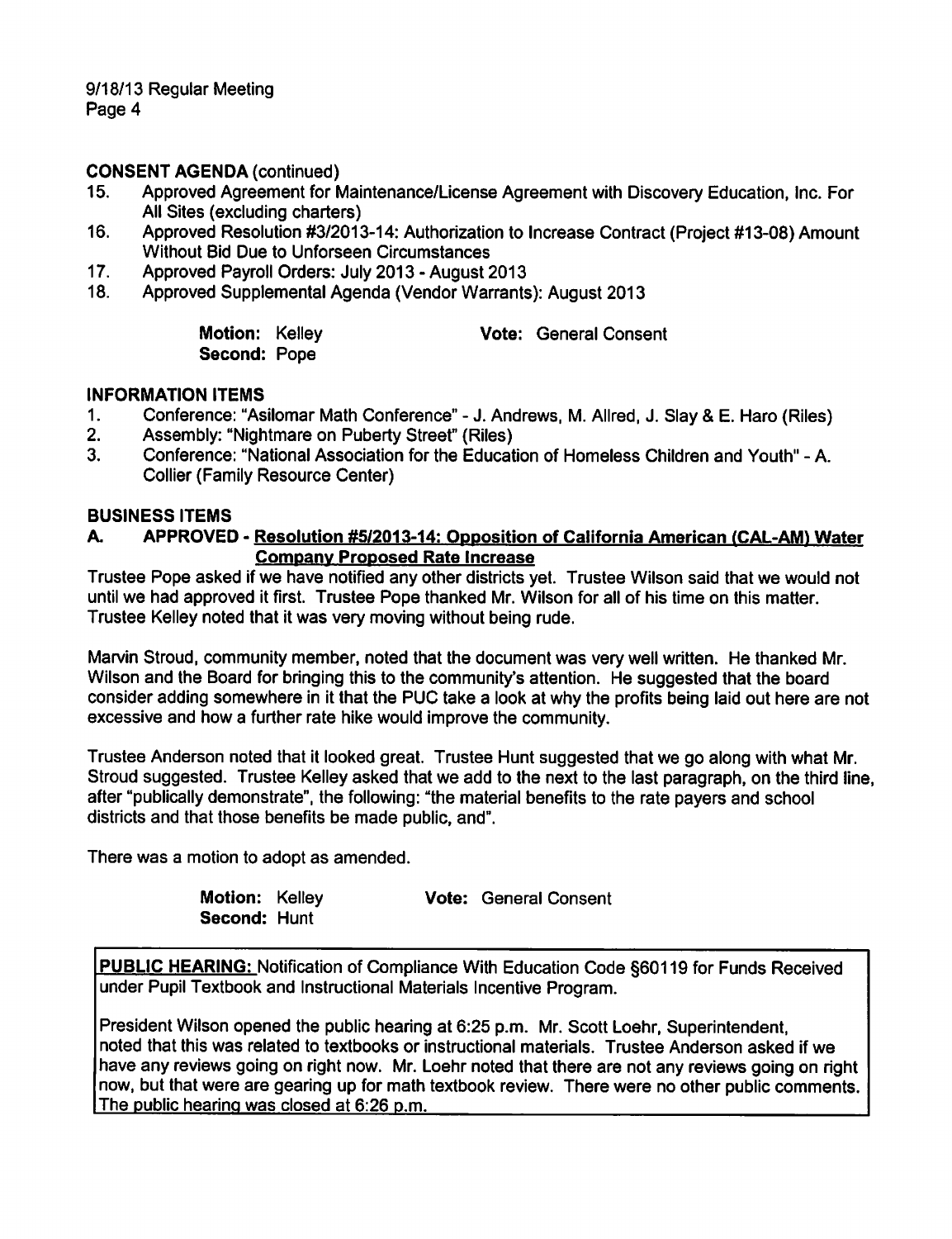### **CONSENT AGENDA (continued)**

- $15.$ Approved Agreement for Maintenance/License Agreement with Discovery Education, Inc. For All Sites (excluding charters)
- Approved Resolution #3/2013-14: Authorization to Increase Contract (Project #13-08) Amount  $16.$ **Without Bid Due to Unforseen Circumstances**
- $17.$ Approved Payroll Orders: July 2013 - August 2013
- $18.$ Approved Supplemental Agenda (Vendor Warrants): August 2013

Motion: Kelley Second: Pope

**Vote: General Consent** 

### **INFORMATION ITEMS**

- Conference: "Asilomar Math Conference" J. Andrews, M. Allred, J. Slay & E. Haro (Riles)  $1<sub>1</sub>$
- $2.$ Assembly: "Nightmare on Puberty Street" (Riles)
- $3<sub>l</sub>$ Conference: "National Association for the Education of Homeless Children and Youth" - A. **Collier (Family Resource Center)**

### **BUSINESS ITEMS**

#### APPROVED - Resolution #5/2013-14: Opposition of California American (CAL-AM) Water A. **Company Proposed Rate Increase**

Trustee Pope asked if we have notified any other districts yet. Trustee Wilson said that we would not until we had approved it first. Trustee Pope thanked Mr. Wilson for all of his time on this matter. Trustee Kelley noted that it was very moving without being rude.

Marvin Stroud, community member, noted that the document was very well written. He thanked Mr. Wilson and the Board for bringing this to the community's attention. He suggested that the board consider adding somewhere in it that the PUC take a look at why the profits being laid out here are not excessive and how a further rate hike would improve the community.

Trustee Anderson noted that it looked great. Trustee Hunt suggested that we go along with what Mr. Stroud suggested. Trustee Kelley asked that we add to the next to the last paragraph, on the third line, after "publically demonstrate", the following: "the material benefits to the rate payers and school districts and that those benefits be made public, and".

There was a motion to adopt as amended.

Motion: Kelley **Vote: General Consent** Second: Hunt

PUBLIC HEARING: Notification of Compliance With Education Code §60119 for Funds Received under Pupil Textbook and Instructional Materials Incentive Program.

President Wilson opened the public hearing at 6:25 p.m. Mr. Scott Loehr, Superintendent, noted that this was related to textbooks or instructional materials. Trustee Anderson asked if we have any reviews going on right now. Mr. Loehr noted that there are not any reviews going on right now, but that were are gearing up for math textbook review. There were no other public comments. The public hearing was closed at 6:26 p.m.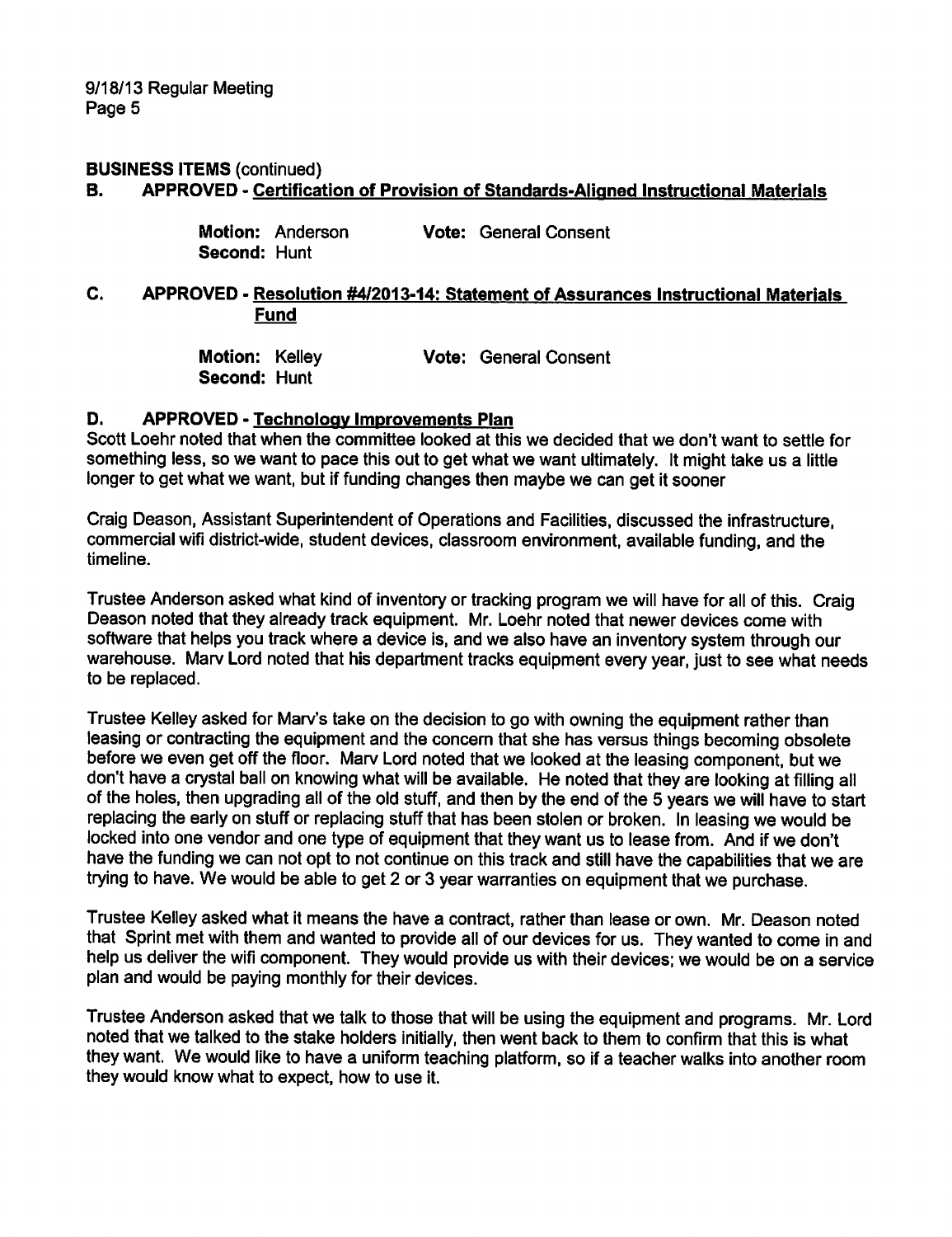9/18/13 Regular Meeting Page 5

#### **BUSINESS ITEMS (continued)**

#### APPROVED - Certification of Provision of Standards-Aligned Instructional Materials **B.**

|              | Motion: Anderson | <b>Vote: General Consent</b> |
|--------------|------------------|------------------------------|
| Second: Hunt |                  |                              |

#### C. APPROVED - Resolution #4/2013-14: Statement of Assurances Instructional Materials **Fund**

Motion: Kelley **Vote: General Consent** Second: Hunt

#### D. **APPROVED - Technology Improvements Plan**

Scott Loehr noted that when the committee looked at this we decided that we don't want to settle for something less, so we want to pace this out to get what we want ultimately. It might take us a little longer to get what we want, but if funding changes then maybe we can get it sooner

Craig Deason, Assistant Superintendent of Operations and Facilities, discussed the infrastructure, commercial wifi district-wide, student devices, classroom environment, available funding, and the timeline.

Trustee Anderson asked what kind of inventory or tracking program we will have for all of this. Craig Deason noted that they already track equipment. Mr. Loehr noted that newer devices come with software that helps you track where a device is, and we also have an inventory system through our warehouse. Marv Lord noted that his department tracks equipment every year, just to see what needs to be replaced.

Trustee Kelley asked for Marv's take on the decision to go with owning the equipment rather than leasing or contracting the equipment and the concern that she has versus things becoming obsolete before we even get off the floor. Marv Lord noted that we looked at the leasing component, but we don't have a crystal ball on knowing what will be available. He noted that they are looking at filling all of the holes, then upgrading all of the old stuff, and then by the end of the 5 years we will have to start replacing the early on stuff or replacing stuff that has been stolen or broken. In leasing we would be locked into one vendor and one type of equipment that they want us to lease from. And if we don't have the funding we can not opt to not continue on this track and still have the capabilities that we are trying to have. We would be able to get 2 or 3 year warranties on equipment that we purchase.

Trustee Kelley asked what it means the have a contract, rather than lease or own. Mr. Deason noted that Sprint met with them and wanted to provide all of our devices for us. They wanted to come in and help us deliver the wifi component. They would provide us with their devices; we would be on a service plan and would be paying monthly for their devices.

Trustee Anderson asked that we talk to those that will be using the equipment and programs. Mr. Lord noted that we talked to the stake holders initially, then went back to them to confirm that this is what they want. We would like to have a uniform teaching platform, so if a teacher walks into another room they would know what to expect, how to use it.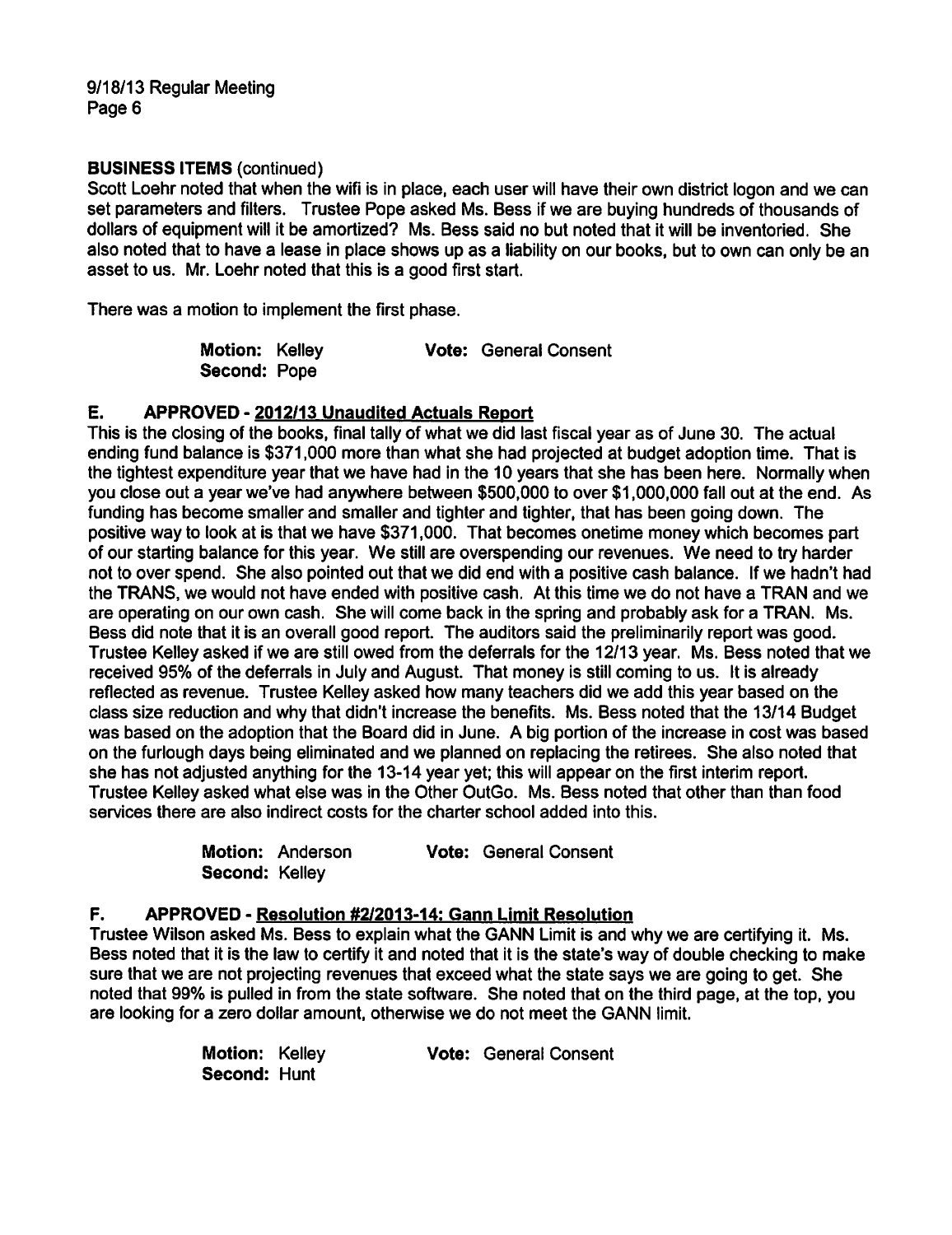#### **BUSINESS ITEMS (continued)**

Scott Loehr noted that when the wifi is in place, each user will have their own district logon and we can set parameters and filters. Trustee Pope asked Ms. Bess if we are buying hundreds of thousands of dollars of equipment will it be amortized? Ms. Bess said no but noted that it will be inventoried. She also noted that to have a lease in place shows up as a liability on our books, but to own can only be an asset to us. Mr. Loehr noted that this is a good first start.

There was a motion to implement the first phase.

| Motion: Kelley      |  | <b>Vote: General Consent</b> |
|---------------------|--|------------------------------|
| <b>Second: Pope</b> |  |                              |

#### E. APPROVED - 2012/13 Unaudited Actuals Report

This is the closing of the books, final tally of what we did last fiscal year as of June 30. The actual ending fund balance is \$371,000 more than what she had projected at budget adoption time. That is the tightest expenditure year that we have had in the 10 years that she has been here. Normally when you close out a year we've had anywhere between \$500,000 to over \$1,000,000 fall out at the end. As funding has become smaller and smaller and tighter and tighter, that has been going down. The positive way to look at is that we have \$371,000. That becomes one time money which becomes part of our starting balance for this year. We still are overspending our revenues. We need to try harder not to over spend. She also pointed out that we did end with a positive cash balance. If we hadn't had the TRANS, we would not have ended with positive cash. At this time we do not have a TRAN and we are operating on our own cash. She will come back in the spring and probably ask for a TRAN. Ms. Bess did note that it is an overall good report. The auditors said the preliminarily report was good. Trustee Kelley asked if we are still owed from the deferrals for the 12/13 year. Ms. Bess noted that we received 95% of the deferrals in July and August. That money is still coming to us. It is already reflected as revenue. Trustee Kelley asked how many teachers did we add this year based on the class size reduction and why that didn't increase the benefits. Ms. Bess noted that the 13/14 Budget was based on the adoption that the Board did in June. A big portion of the increase in cost was based on the furlough days being eliminated and we planned on replacing the retirees. She also noted that she has not adjusted anything for the 13-14 year yet; this will appear on the first interim report. Trustee Kelley asked what else was in the Other OutGo. Ms. Bess noted that other than than food services there are also indirect costs for the charter school added into this.

|                | Motion: Anderson | <b>Vote: General Consent</b> |
|----------------|------------------|------------------------------|
| Second: Kelley |                  |                              |

#### F. APPROVED - Resolution #2/2013-14: Gann Limit Resolution

Trustee Wilson asked Ms. Bess to explain what the GANN Limit is and why we are certifying it. Ms. Bess noted that it is the law to certify it and noted that it is the state's way of double checking to make sure that we are not projecting revenues that exceed what the state says we are going to get. She noted that 99% is pulled in from the state software. She noted that on the third page, at the top, you are looking for a zero dollar amount, otherwise we do not meet the GANN limit.

| Motion: Kelley      |  | <b>Vote: General Consent</b> |
|---------------------|--|------------------------------|
| <b>Second: Hunt</b> |  |                              |